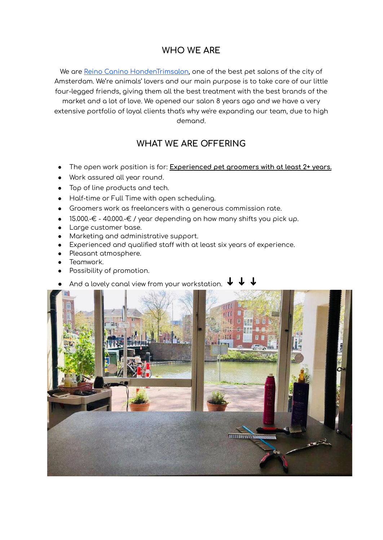## **WHO WE ARE**

We are Reino Canino [HondenTrimsalon,](https://www.reinocanino.com/) one of the best pet salons of the city of Amsterdam. We're animals' lovers and our main purpose is to take care of our little four-legged friends, giving them all the best treatment with the best brands of the market and a lot of love. We opened our salon 8 years ago and we have a very extensive portfolio of loyal clients that's why we're expanding our team, due to high demand.

## **WHAT WE ARE OFFERING**

- The open work position is for: **Experienced pet groomers with at least 2+ years.**
- Work assured all year round.
- Top of line products and tech.
- Half-time or Full Time with open scheduling.
- Groomers work as freelancers with a generous commission rate.
- 15.000.-€ 40.000.-€ / year depending on how many shifts you pick up.
- Large customer base.
- Marketing and administrative support.
- Experienced and qualified staff with at least six years of experience.
- Pleasant atmosphere.
- Teamwork.
- Possibility of promotion.
- And a lovely canal view from your workstation.  $\blacklozenge$